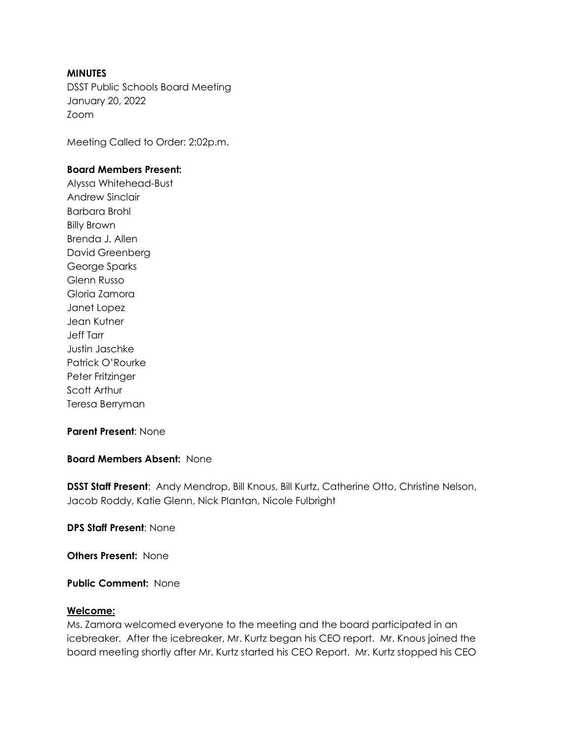### **MINUTES**

DSST Public Schools Board Meeting January 20, 2022 Zoom

Meeting Called to Order: 2:02p.m.

### **Board Members Present:**

Alyssa Whitehead-Bust Andrew Sinclair Barbara Brohl Billy Brown Brenda J. Allen David Greenberg George Sparks Glenn Russo Gloria Zamora Janet Lopez Jean Kutner Jeff Tarr Justin Jaschke Patrick O'Rourke Peter Fritzinger Scott Arthur Teresa Berryman

### **Parent Present**: None

#### **Board Members Absent:** None

**DSST Staff Present**: Andy Mendrop, Bill Knous, Bill Kurtz, Catherine Otto, Christine Nelson, Jacob Roddy, Katie Glenn, Nick Plantan, Nicole Fulbright

**DPS Staff Present**: None

**Others Present:** None

**Public Comment:** None

#### **Welcome:**

Ms. Zamora welcomed everyone to the meeting and the board participated in an icebreaker. After the icebreaker, Mr. Kurtz began his CEO report. Mr. Knous joined the board meeting shortly after Mr. Kurtz started his CEO Report. Mr. Kurtz stopped his CEO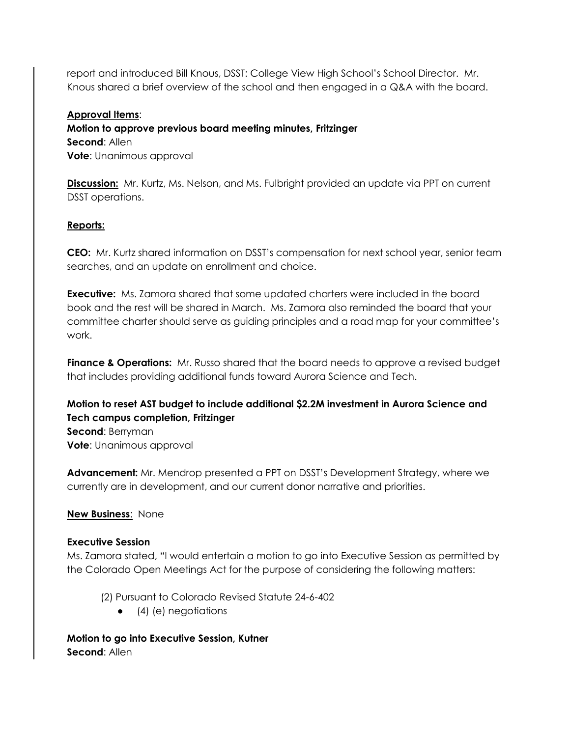report and introduced Bill Knous, DSST: College View High School's School Director. Mr. Knous shared a brief overview of the school and then engaged in a Q&A with the board.

## **Approval Items**:

**Motion to approve previous board meeting minutes, Fritzinger Second**: Allen **Vote**: Unanimous approval

**Discussion:** Mr. Kurtz, Ms. Nelson, and Ms. Fulbright provided an update via PPT on current DSST operations.

### **Reports:**

**CEO:** Mr. Kurtz shared information on DSST's compensation for next school year, senior team searches, and an update on enrollment and choice.

**Executive:** Ms. Zamora shared that some updated charters were included in the board book and the rest will be shared in March. Ms. Zamora also reminded the board that your committee charter should serve as guiding principles and a road map for your committee's work.

**Finance & Operations:** Mr. Russo shared that the board needs to approve a revised budget that includes providing additional funds toward Aurora Science and Tech.

# **Motion to reset AST budget to include additional \$2.2M investment in Aurora Science and Tech campus completion, Fritzinger**

**Second**: Berryman **Vote**: Unanimous approval

**Advancement:** Mr. Mendrop presented a PPT on DSST's Development Strategy, where we currently are in development, and our current donor narrative and priorities.

**New Business**: None

### **Executive Session**

Ms. Zamora stated, "I would entertain a motion to go into Executive Session as permitted by the Colorado Open Meetings Act for the purpose of considering the following matters:

- (2) Pursuant to Colorado Revised Statute 24-6-402
	- $\bullet$  (4) (e) negotiations

**Motion to go into Executive Session, Kutner Second**: Allen